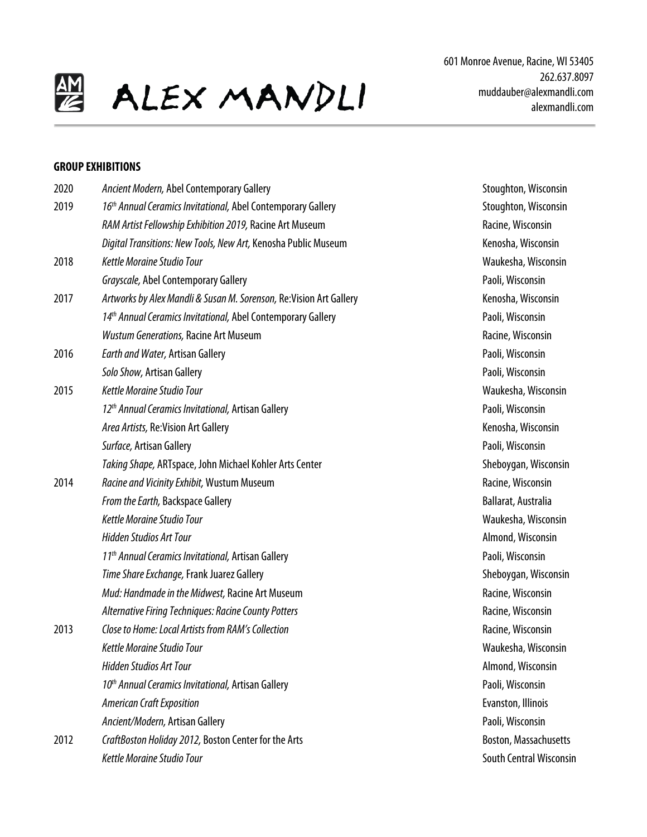

### **GROUP EXHIBITIONS**

| Stoughton, Wisconsin<br>Racine, Wisconsin<br>Kenosha, Wisconsin<br>Waukesha, Wisconsin<br>Paoli, Wisconsin<br>Kenosha, Wisconsin |
|----------------------------------------------------------------------------------------------------------------------------------|
|                                                                                                                                  |
|                                                                                                                                  |
|                                                                                                                                  |
|                                                                                                                                  |
|                                                                                                                                  |
|                                                                                                                                  |
| Paoli, Wisconsin                                                                                                                 |
| Racine, Wisconsin                                                                                                                |
| Paoli, Wisconsin                                                                                                                 |
| Paoli, Wisconsin                                                                                                                 |
| Waukesha, Wisconsin                                                                                                              |
| Paoli, Wisconsin                                                                                                                 |
| Kenosha, Wisconsin                                                                                                               |
| Paoli, Wisconsin                                                                                                                 |
| Sheboygan, Wisconsin                                                                                                             |
| Racine, Wisconsin                                                                                                                |
| Ballarat, Australia                                                                                                              |
| Waukesha, Wisconsin                                                                                                              |
| Almond, Wisconsin                                                                                                                |
| Paoli, Wisconsin                                                                                                                 |
| Sheboygan, Wisconsin                                                                                                             |
| Racine, Wisconsin                                                                                                                |
| Racine, Wisconsin                                                                                                                |
| Racine, Wisconsin                                                                                                                |
| Waukesha, Wisconsin                                                                                                              |
| Almond, Wisconsin                                                                                                                |
| Paoli, Wisconsin                                                                                                                 |
| Evanston, Illinois                                                                                                               |
| Paoli, Wisconsin                                                                                                                 |
| Boston, Massachusetts                                                                                                            |
| <b>South Central Wiscons</b>                                                                                                     |
|                                                                                                                                  |

2019 *16th Annual Ceramics Invitational,* Abel Contemporary Gallery Stoughton, Wisconsin **Racine, Wisconsin** Kenosha, Wisconsin 2018 *Kettle Moraine Studio Tour* Waukesha, Wisconsin Paoli, Wisconsin 2017 *Artworks by Alex Mandli & Susan M. Sorenson,* Re:Vision Art Gallery Kenosha, Wisconsin **Paoli, Wisconsin Racine, Wisconsin** Paoli, Wisconsin Paoli, Wisconsin 2015 *Kettle Moraine Studio Tour* Waukesha, Wisconsin *12th Annual Ceramics Invitational,* Artisan Gallery Paoli, Wisconsin Kenosha, Wisconsin Paoli, Wisconsin **Sheboygan, Wisconsin** 2014 *Racine and Vicinity Exhibit,* Wustum Museum Racine, Wisconsin **Ballarat, Australia** *Kettle Moraine Studio Tour* Waukesha, Wisconsin *Hidden Studios Art Tour* Almond, Wisconsin *11th Annual Ceramics Invitational,* Artisan Gallery Paoli, Wisconsin Sheboygan, Wisconsin *Mud: Handmade in the Midwest,* Racine Art Museum Racine, Wisconsin *AlternativeFiring Techniques: Racine County Potters* Racine, Wisconsin 2013 *Close to Home: Local Artists from RAM's Collection* Racine, Wisconsin *Kettle Moraine Studio Tour* Waukesha, Wisconsin *Hidden Studios Art Tour* Almond, Wisconsin **Paoli, Wisconsin Evanston, Illinois** Paoli, Wisconsin Boston, Massachusetts **South Central Wisconsin**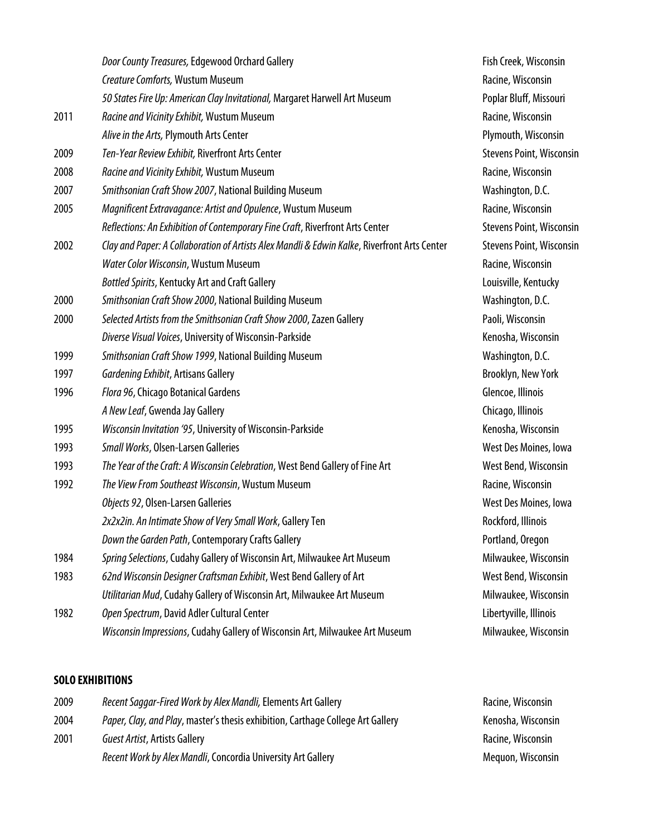|      | Door County Treasures, Edgewood Orchard Gallery                                              |
|------|----------------------------------------------------------------------------------------------|
|      | Creature Comforts, Wustum Museum                                                             |
|      | 50 States Fire Up: American Clay Invitational, Margaret Harwell Art Museum                   |
| 2011 | Racine and Vicinity Exhibit, Wustum Museum                                                   |
|      | Alive in the Arts, Plymouth Arts Center                                                      |
| 2009 | Ten-Year Review Exhibit, Riverfront Arts Center                                              |
| 2008 | Racine and Vicinity Exhibit, Wustum Museum                                                   |
| 2007 | Smithsonian Craft Show 2007, National Building Museum                                        |
| 2005 | Magnificent Extravagance: Artist and Opulence, Wustum Museum                                 |
|      | Reflections: An Exhibition of Contemporary Fine Craft, Riverfront Arts Center                |
| 2002 | Clay and Paper: A Collaboration of Artists Alex Mandli & Edwin Kalke, Riverfront Arts Center |
|      | Water Color Wisconsin, Wustum Museum                                                         |
|      | <b>Bottled Spirits, Kentucky Art and Craft Gallery</b>                                       |
| 2000 | Smithsonian Craft Show 2000, National Building Museum                                        |
| 2000 | Selected Artists from the Smithsonian Craft Show 2000, Zazen Gallery                         |
|      | Diverse Visual Voices, University of Wisconsin-Parkside                                      |
| 1999 | Smithsonian Craft Show 1999, National Building Museum                                        |
| 1997 | Gardening Exhibit, Artisans Gallery                                                          |
| 1996 | Flora 96, Chicago Botanical Gardens                                                          |
|      | A New Leaf, Gwenda Jay Gallery                                                               |
| 1995 | Wisconsin Invitation '95, University of Wisconsin-Parkside                                   |
| 1993 | Small Works, Olsen-Larsen Galleries                                                          |
| 1993 | The Year of the Craft: A Wisconsin Celebration, West Bend Gallery of Fine Art                |
| 1992 | The View From Southeast Wisconsin, Wustum Museum                                             |
|      | Objects 92, Olsen-Larsen Galleries                                                           |
|      | 2x2x2in. An Intimate Show of Very Small Work, Gallery Ten                                    |
|      | Down the Garden Path, Contemporary Crafts Gallery                                            |
| 1984 | Spring Selections, Cudahy Gallery of Wisconsin Art, Milwaukee Art Museum                     |
| 1983 | 62nd Wisconsin Designer Craftsman Exhibit, West Bend Gallery of Art                          |
|      | Utilitarian Mud, Cudahy Gallery of Wisconsin Art, Milwaukee Art Museum                       |
| 1982 | Open Spectrum, David Adler Cultural Center                                                   |
|      | Wisconsin Impressions, Cudahy Gallery of Wisconsin Art, Milwaukee Art Museum                 |

**Fish Creek, Wisconsin Racine, Wisconsin** Poplar Bluff, Missouri **Racine, Wisconsin** Plymouth, Wisconsin **Stevens Point, Wisconsin** 

**Racine, Wisconsin** Washington, D.C. 2005 *Magnificent Extravagance: Artist and Opulence*, Wustum Museum Racine, Wisconsin

**Racine, Wisconsin Louisville, Kentucky** Washington, D.C. 2000 *Selected Artists from the Smithsonian Craft Show 2000*, Zazen Gallery Paoli, Wisconsin Kenosha, Wisconsin **Washington, D.C.** Brooklyn, New York **Glencoe, Illinois** *A New Leaf*, Gwenda Jay Gallery Chicago, Illinois Kenosha, Wisconsin **West Des Moines, Iowa** 1993 *The Year of the Craft: A Wisconsin Celebration*, West Bend Gallery of Fine Art West Bend, Wisconsin 1992 *The View From Southeast Wisconsin*, Wustum Museum Racine, Wisconsin

West Des Moines, Iowa

*2x2x2in. An Intimate Show of Very Small Work*, Gallery Ten Rockford, Illinois Portland, Oregon 1984 *Spring Selections*, Cudahy Gallery of Wisconsin Art, Milwaukee Art Museum Milwaukee, Wisconsin **West Bend, Wisconsin** *Milwaukee, Wisconsin* Libertyville, Illinois *Milwaukee, Wisconsin* 

**Stevens Point, Wisconsin** 2002 *Clay and Paper: A Collaboration of Artists Alex Mandli & Edwin Kalke*, Riverfront Arts Center Stevens Point, Wisconsin

## **SOLO EXHIBITIONS**

| 2009 | Recent Saggar-Fired Work by Alex Mandli, Elements Art Gallery                   | Racine, Wisconsin  |
|------|---------------------------------------------------------------------------------|--------------------|
| 2004 | Paper, Clay, and Play, master's thesis exhibition, Carthage College Art Gallery | Kenosha, Wisconsin |
| 2001 | Guest Artist, Artists Gallery                                                   | Racine, Wisconsin  |
|      | Recent Work by Alex Mandli, Concordia University Art Gallery                    | Meguon, Wisconsin  |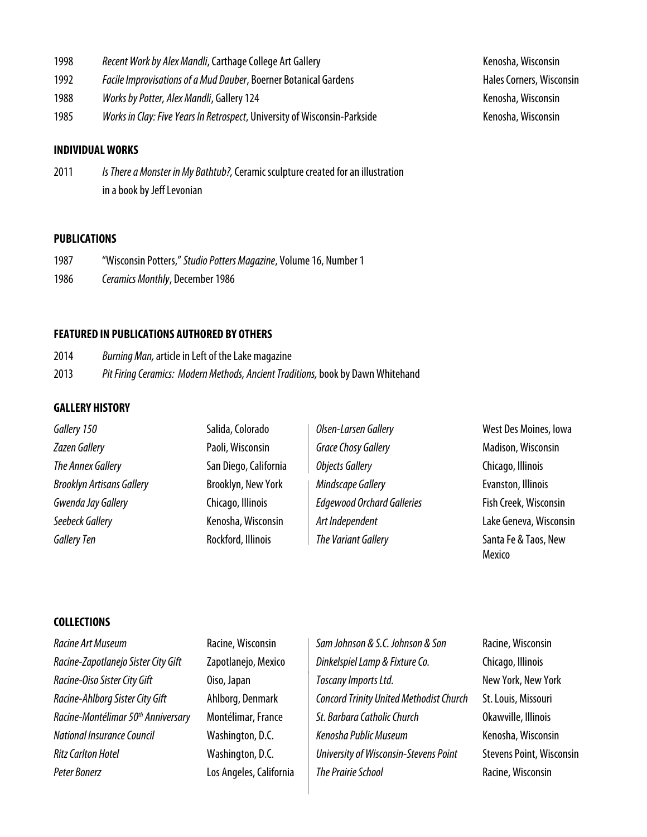- 1998 Recent Work by Alex Mandli, Carthage College Art Gallery **Recent Access 1998** Kenosha, Wisconsin
- 1992 *Facile Improvisations of a Mud Dauber*, Boerner Botanical Gardens **Facilia Communist Corners**, Wisconsin
- 1988 *Works by Potter, Alex Mandli*, Gallery 124 **Kenosha, Wisconsin** Kenosha, Wisconsin
- 1985 *Works in Clay: Five Years In Retrospect*, University of Wisconsin-Parkside Kenosha, Wisconsin

### **INDIVIDUAL WORKS**

2011 *Is There a Monster in My Bathtub?,*Ceramic sculpture created for an illustration in a book by Jeff Levonian

### **PUBLICATIONS**

- 1987 "Wisconsin Potters," *Studio Potters Magazine*, Volume 16, Number 1
- 1986 *Ceramics Monthly*, December 1986

#### **FEATURED IN PUBLICATIONS AUTHORED BY OTHERS**

2014 *Burning Man,* article in Left of the Lake magazine 2013 *Pit Firing Ceramics: Modern Methods, Ancient Traditions,* book by Dawn Whitehand

## **GALLERY HISTORY**

| Gallery 150                      | Salida, Colorado      | Olsen-Larsen Gallery              | West Des Moines, Iowa          |
|----------------------------------|-----------------------|-----------------------------------|--------------------------------|
| <b>Zazen Gallery</b>             | Paoli, Wisconsin      | <b>Grace Chosy Gallery</b>        | Madison, Wisconsin             |
| The Annex Gallery                | San Diego, California | Objects Gallery                   | Chicago, Illinois              |
| <b>Brooklyn Artisans Gallery</b> | Brooklyn, New York    | Mindscape Gallery                 | Evanston, Illinois             |
| Gwenda Jay Gallery               | Chicago, Illinois     | <b>Edgewood Orchard Galleries</b> | Fish Creek, Wisconsin          |
| Seebeck Gallery                  | Kenosha, Wisconsin    | Art Independent                   | Lake Geneva, Wisconsin         |
| <b>Gallery Ten</b>               | Rockford, Illinois    | The Variant Gallery               | Santa Fe & Taos, New<br>Mexico |

## **COLLECTIONS**

*Racine Art Museum* Racine, Wisconsin *Sam Johnson & S.C. Johnson & Son* Racine, Wisconsin **Peter Bonerz Racine, Wisconsin Los Angeles, California The Prairie School <b>Racine**, Wisconsin

*Racine-Zapotlanejo Sister City Gift* Zapotlanejo, Mexico *Dinkelspiel Lamp & Fixture Co.* Chicago, Illinois *Racine-Oiso SisterCity Gift* Oiso, Japan *Toscany Imports Ltd.* New York, New York *Racine-Ahlborg SisterCity Gift* Ahlborg, Denmark *Concord Trinity United Methodist Church* St. Louis, Missouri *Racine-Montélimar 50th Anniversary* Montélimar, France *St. Barbara Catholic Church* Okawville, Illinois *National Insurance Council* Washington, D.C. *Kenosha Public Museum* Kenosha, Wisconsin *Ritz Carlton Hotel* Washington, D.C. *University of Wisconsin-Stevens Point* Stevens Point, Wisconsin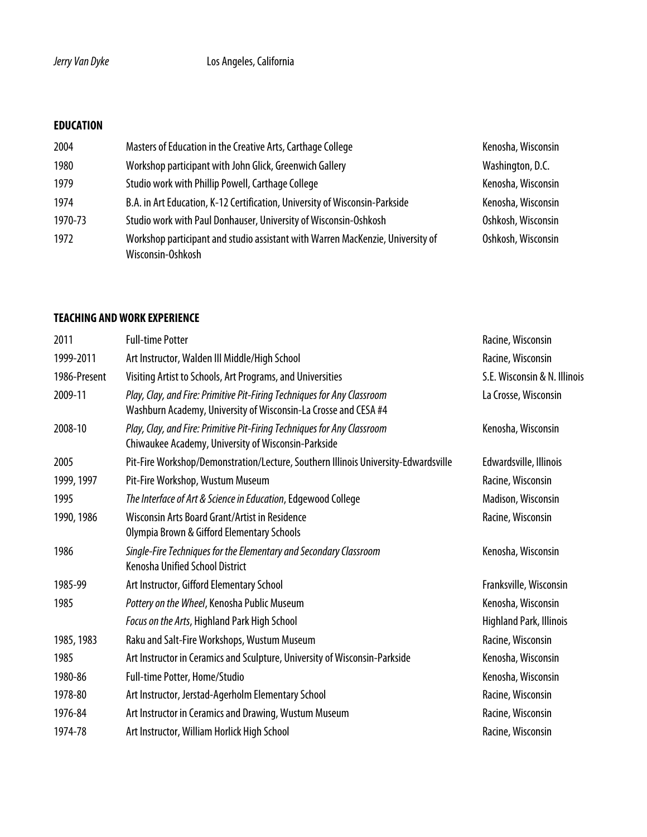# **EDUCATION**

| 2004    | Masters of Education in the Creative Arts, Carthage College                                         | Kenosha, Wisconsin |
|---------|-----------------------------------------------------------------------------------------------------|--------------------|
| 1980    | Workshop participant with John Glick, Greenwich Gallery                                             | Washington, D.C.   |
| 1979    | Studio work with Phillip Powell, Carthage College                                                   | Kenosha, Wisconsin |
| 1974    | B.A. in Art Education, K-12 Certification, University of Wisconsin-Parkside                         | Kenosha, Wisconsin |
| 1970-73 | Studio work with Paul Donhauser, University of Wisconsin-Oshkosh                                    | Oshkosh, Wisconsin |
| 1972    | Workshop participant and studio assistant with Warren MacKenzie, University of<br>Wisconsin-Oshkosh | Oshkosh, Wisconsin |

## **TEACHING AND WORK EXPERIENCE**

| 2011         | <b>Full-time Potter</b>                                                                                                                    | Racine, Wisconsin              |
|--------------|--------------------------------------------------------------------------------------------------------------------------------------------|--------------------------------|
| 1999-2011    | Art Instructor, Walden III Middle/High School                                                                                              | Racine, Wisconsin              |
| 1986-Present | Visiting Artist to Schools, Art Programs, and Universities                                                                                 | S.E. Wisconsin & N. Illinois   |
| 2009-11      | Play, Clay, and Fire: Primitive Pit-Firing Techniques for Any Classroom<br>Washburn Academy, University of Wisconsin-La Crosse and CESA #4 | La Crosse, Wisconsin           |
| 2008-10      | Play, Clay, and Fire: Primitive Pit-Firing Techniques for Any Classroom<br>Chiwaukee Academy, University of Wisconsin-Parkside             | Kenosha, Wisconsin             |
| 2005         | Pit-Fire Workshop/Demonstration/Lecture, Southern Illinois University-Edwardsville                                                         | Edwardsville, Illinois         |
| 1999, 1997   | Pit-Fire Workshop, Wustum Museum                                                                                                           | Racine, Wisconsin              |
| 1995         | The Interface of Art & Science in Education, Edgewood College                                                                              | Madison, Wisconsin             |
| 1990, 1986   | Wisconsin Arts Board Grant/Artist in Residence<br>Olympia Brown & Gifford Elementary Schools                                               | Racine, Wisconsin              |
| 1986         | Single-Fire Techniques for the Elementary and Secondary Classroom<br><b>Kenosha Unified School District</b>                                | Kenosha, Wisconsin             |
| 1985-99      | Art Instructor, Gifford Elementary School                                                                                                  | Franksville, Wisconsin         |
| 1985         | Pottery on the Wheel, Kenosha Public Museum                                                                                                | Kenosha, Wisconsin             |
|              | Focus on the Arts, Highland Park High School                                                                                               | <b>Highland Park, Illinois</b> |
| 1985, 1983   | Raku and Salt-Fire Workshops, Wustum Museum                                                                                                | Racine, Wisconsin              |
| 1985         | Art Instructor in Ceramics and Sculpture, University of Wisconsin-Parkside                                                                 | Kenosha, Wisconsin             |
| 1980-86      | Full-time Potter, Home/Studio                                                                                                              | Kenosha, Wisconsin             |
| 1978-80      | Art Instructor, Jerstad-Agerholm Elementary School                                                                                         | Racine, Wisconsin              |
| 1976-84      | Art Instructor in Ceramics and Drawing, Wustum Museum                                                                                      | Racine, Wisconsin              |
| 1974-78      | Art Instructor, William Horlick High School                                                                                                | Racine, Wisconsin              |